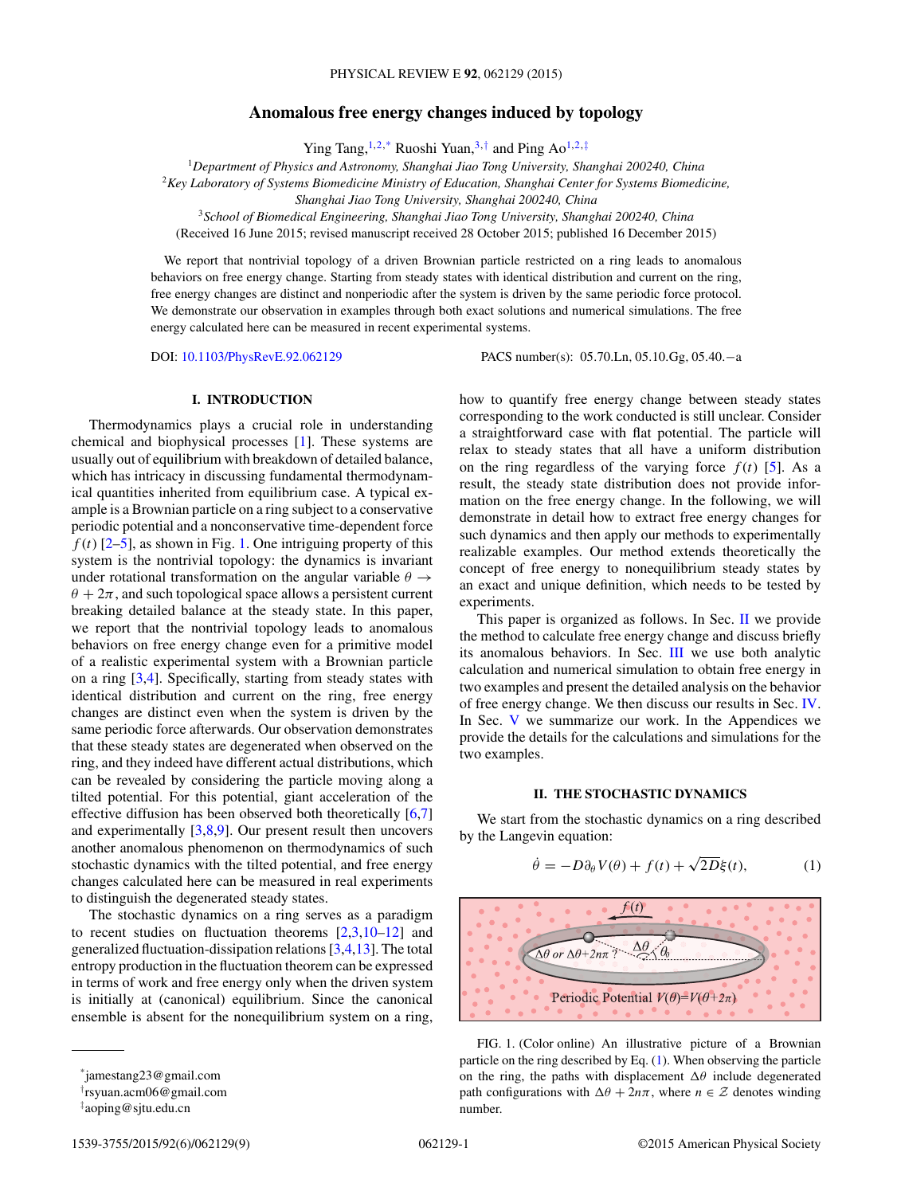# **Anomalous free energy changes induced by topology**

Ying Tang,<sup>1,2,\*</sup> Ruoshi Yuan,<sup>3,†</sup> and Ping Ao<sup>1,2,‡</sup>

<span id="page-0-0"></span><sup>1</sup>*Department of Physics and Astronomy, Shanghai Jiao Tong University, Shanghai 200240, China*

<sup>2</sup>*Key Laboratory of Systems Biomedicine Ministry of Education, Shanghai Center for Systems Biomedicine,*

*Shanghai Jiao Tong University, Shanghai 200240, China*

<sup>3</sup>*School of Biomedical Engineering, Shanghai Jiao Tong University, Shanghai 200240, China*

(Received 16 June 2015; revised manuscript received 28 October 2015; published 16 December 2015)

We report that nontrivial topology of a driven Brownian particle restricted on a ring leads to anomalous behaviors on free energy change. Starting from steady states with identical distribution and current on the ring, free energy changes are distinct and nonperiodic after the system is driven by the same periodic force protocol. We demonstrate our observation in examples through both exact solutions and numerical simulations. The free energy calculated here can be measured in recent experimental systems.

DOI: [10.1103/PhysRevE.92.062129](http://dx.doi.org/10.1103/PhysRevE.92.062129) PACS number(s): 05*.*70*.*Ln*,* 05*.*10*.*Gg*,* 05*.*40*.*−a

# **I. INTRODUCTION**

Thermodynamics plays a crucial role in understanding chemical and biophysical processes [\[1\]](#page-8-0). These systems are usually out of equilibrium with breakdown of detailed balance, which has intricacy in discussing fundamental thermodynamical quantities inherited from equilibrium case. A typical example is a Brownian particle on a ring subject to a conservative periodic potential and a nonconservative time-dependent force  $f(t)$  [\[2–5\]](#page-8-0), as shown in Fig. 1. One intriguing property of this system is the nontrivial topology: the dynamics is invariant under rotational transformation on the angular variable  $\theta \rightarrow$  $\theta + 2\pi$ , and such topological space allows a persistent current breaking detailed balance at the steady state. In this paper, we report that the nontrivial topology leads to anomalous behaviors on free energy change even for a primitive model of a realistic experimental system with a Brownian particle on a ring [\[3,4\]](#page-8-0). Specifically, starting from steady states with identical distribution and current on the ring, free energy changes are distinct even when the system is driven by the same periodic force afterwards. Our observation demonstrates that these steady states are degenerated when observed on the ring, and they indeed have different actual distributions, which can be revealed by considering the particle moving along a tilted potential. For this potential, giant acceleration of the effective diffusion has been observed both theoretically [\[6,7\]](#page-8-0) and experimentally [\[3,8,9\]](#page-8-0). Our present result then uncovers another anomalous phenomenon on thermodynamics of such stochastic dynamics with the tilted potential, and free energy changes calculated here can be measured in real experiments to distinguish the degenerated steady states.

The stochastic dynamics on a ring serves as a paradigm to recent studies on fluctuation theorems [\[2,3,10–12\]](#page-8-0) and generalized fluctuation-dissipation relations [\[3,4,13\]](#page-8-0). The total entropy production in the fluctuation theorem can be expressed in terms of work and free energy only when the driven system is initially at (canonical) equilibrium. Since the canonical ensemble is absent for the nonequilibrium system on a ring, corresponding to the work conducted is still unclear. Consider a straightforward case with flat potential. The particle will relax to steady states that all have a uniform distribution on the ring regardless of the varying force  $f(t)$  [\[5\]](#page-8-0). As a result, the steady state distribution does not provide information on the free energy change. In the following, we will demonstrate in detail how to extract free energy changes for such dynamics and then apply our methods to experimentally realizable examples. Our method extends theoretically the concept of free energy to nonequilibrium steady states by an exact and unique definition, which needs to be tested by experiments.

how to quantify free energy change between steady states

This paper is organized as follows. In Sec. II we provide the method to calculate free energy change and discuss briefly its anomalous behaviors. In Sec. [III](#page-2-0) we use both analytic calculation and numerical simulation to obtain free energy in two examples and present the detailed analysis on the behavior of free energy change. We then discuss our results in Sec. [IV.](#page-3-0) In Sec. [V](#page-4-0) we summarize our work. In the Appendices we provide the details for the calculations and simulations for the two examples.

# **II. THE STOCHASTIC DYNAMICS**

We start from the stochastic dynamics on a ring described by the Langevin equation:

$$
\dot{\theta} = -D\partial_{\theta}V(\theta) + f(t) + \sqrt{2D}\xi(t),\tag{1}
$$



FIG. 1. (Color online) An illustrative picture of a Brownian particle on the ring described by Eq. (1). When observing the particle on the ring, the paths with displacement  $\Delta\theta$  include degenerated path configurations with  $\Delta\theta + 2n\pi$ , where  $n \in \mathcal{Z}$  denotes winding number.

<sup>\*</sup>jamestang23@gmail.com

<sup>†</sup> rsyuan.acm06@gmail.com

<sup>‡</sup> aoping@sjtu.edu.cn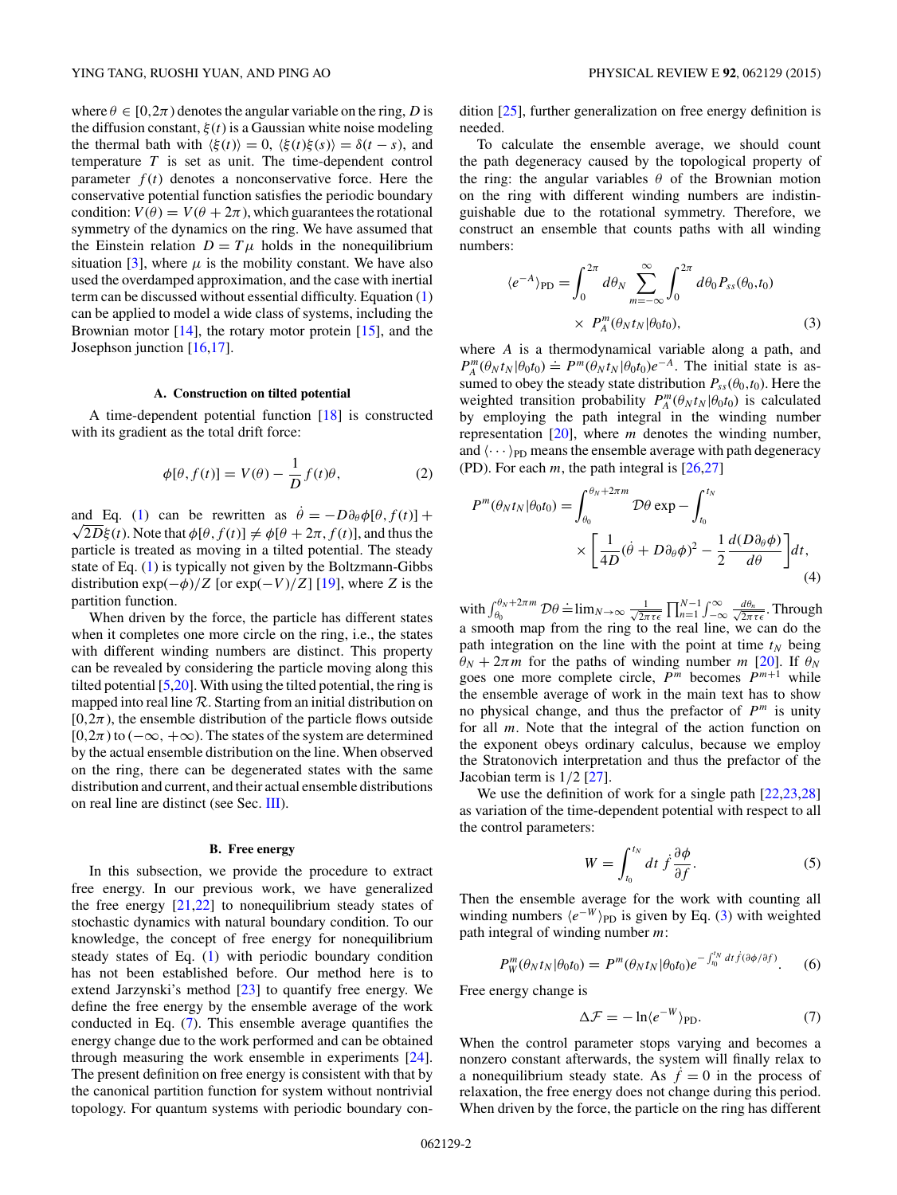<span id="page-1-0"></span>where  $\theta \in [0, 2\pi)$  denotes the angular variable on the ring, *D* is the diffusion constant,  $\xi(t)$  is a Gaussian white noise modeling the thermal bath with  $\langle \xi(t) \rangle = 0$ ,  $\langle \xi(t) \xi(s) \rangle = \delta(t - s)$ , and temperature *T* is set as unit. The time-dependent control parameter  $f(t)$  denotes a nonconservative force. Here the conservative potential function satisfies the periodic boundary condition:  $V(\theta) = V(\theta + 2\pi)$ , which guarantees the rotational symmetry of the dynamics on the ring. We have assumed that the Einstein relation  $D = T\mu$  holds in the nonequilibrium situation [\[3\]](#page-8-0), where  $\mu$  is the mobility constant. We have also used the overdamped approximation, and the case with inertial term can be discussed without essential difficulty. Equation [\(1\)](#page-0-0) can be applied to model a wide class of systems, including the Brownian motor  $[14]$ , the rotary motor protein  $[15]$ , and the Josephson junction [\[16,17\]](#page-8-0).

#### **A. Construction on tilted potential**

A time-dependent potential function [\[18\]](#page-8-0) is constructed with its gradient as the total drift force:

$$
\phi[\theta, f(t)] = V(\theta) - \frac{1}{D}f(t)\theta,
$$
\n(2)

and Eq. [\(1\)](#page-0-0) can be rewritten as  $\dot{\theta} = -D\partial_{\theta}\phi[\theta, f(t)] +$  $\sqrt{2D\xi(t)}$ . Note that  $\phi[\theta, f(t)] \neq \phi[\theta + 2\pi, f(t)]$ , and thus the particle is treated as moving in a tilted potential. The steady state of Eq. [\(1\)](#page-0-0) is typically not given by the Boltzmann-Gibbs distribution  $\exp(-\phi)/Z$  [or  $\exp(-V)/Z$ ] [\[19\]](#page-8-0), where *Z* is the partition function.

When driven by the force, the particle has different states when it completes one more circle on the ring, i.e., the states with different winding numbers are distinct. This property can be revealed by considering the particle moving along this tilted potential  $[5,20]$ . With using the tilted potential, the ring is mapped into real line  $R$ . Starting from an initial distribution on  $[0,2\pi)$ , the ensemble distribution of the particle flows outside  $[0,2\pi)$  to ( $-\infty$ ,  $+\infty$ ). The states of the system are determined by the actual ensemble distribution on the line. When observed on the ring, there can be degenerated states with the same distribution and current, and their actual ensemble distributions on real line are distinct (see Sec. [III\)](#page-2-0).

#### **B. Free energy**

In this subsection, we provide the procedure to extract free energy. In our previous work, we have generalized the free energy  $[21,22]$  to nonequilibrium steady states of stochastic dynamics with natural boundary condition. To our knowledge, the concept of free energy for nonequilibrium steady states of Eq. [\(1\)](#page-0-0) with periodic boundary condition has not been established before. Our method here is to extend Jarzynski's method [\[23\]](#page-8-0) to quantify free energy. We define the free energy by the ensemble average of the work conducted in Eq. (7). This ensemble average quantifies the energy change due to the work performed and can be obtained through measuring the work ensemble in experiments [\[24\]](#page-8-0). The present definition on free energy is consistent with that by the canonical partition function for system without nontrivial topology. For quantum systems with periodic boundary condition [\[25\]](#page-8-0), further generalization on free energy definition is needed.

To calculate the ensemble average, we should count the path degeneracy caused by the topological property of the ring: the angular variables  $\theta$  of the Brownian motion on the ring with different winding numbers are indistinguishable due to the rotational symmetry. Therefore, we construct an ensemble that counts paths with all winding numbers:

$$
\langle e^{-A} \rangle_{\text{PD}} = \int_0^{2\pi} d\theta_N \sum_{m=-\infty}^{\infty} \int_0^{2\pi} d\theta_0 P_{ss}(\theta_0, t_0)
$$
  
 
$$
\times P_A^m(\theta_N t_N | \theta_0 t_0), \tag{3}
$$

where *A* is a thermodynamical variable along a path, and  $P_A^m(\theta_N t_N | \theta_0 t_0) \doteq P^m(\theta_N t_N | \theta_0 t_0) e^{-A}$ . The initial state is assumed to obey the steady state distribution  $P_{ss}(\theta_0,t_0)$ . Here the weighted transition probability  $P_A^m(\theta_N t_N | \theta_0 t_0)$  is calculated by employing the path integral in the winding number representation [\[20\]](#page-8-0), where *m* denotes the winding number, and  $\langle \cdots \rangle_{\text{PD}}$  means the ensemble average with path degeneracy (PD). For each *m*, the path integral is [\[26,27\]](#page-8-0)

$$
P^{m}(\theta_{N}t_{N}|\theta_{0}t_{0}) = \int_{\theta_{0}}^{\theta_{N}+2\pi m} \mathcal{D}\theta \exp - \int_{t_{0}}^{t_{N}} \times \left[\frac{1}{4D}(\dot{\theta}+D\partial_{\theta}\phi)^{2} - \frac{1}{2}\frac{d(D\partial_{\theta}\phi)}{d\theta}\right]dt,
$$
\n(4)

with  $\int_{\theta_0}^{\theta_N+2\pi m} \mathcal{D}\theta \doteq \lim_{N\to\infty} \frac{1}{\sqrt{2\pi}}$  $\frac{1}{2\pi\tau\epsilon}\prod_{n=1}^{N-1}\int_{-\infty}^{\infty}\frac{d\theta_n}{\sqrt{2\pi\tau}}$  $\frac{d\theta_n}{2\pi\,\tau\epsilon}$ . Through a smooth map from the ring to the real line, we can do the path integration on the line with the point at time  $t_N$  being  $\theta_N + 2\pi m$  for the paths of winding number *m* [\[20\]](#page-8-0). If  $\theta_N$ goes one more complete circle,  $P^m$  becomes  $P^{m+1}$  while the ensemble average of work in the main text has to show no physical change, and thus the prefactor of  $P<sup>m</sup>$  is unity for all *m*. Note that the integral of the action function on the exponent obeys ordinary calculus, because we employ the Stratonovich interpretation and thus the prefactor of the Jacobian term is 1*/*2 [\[27\]](#page-8-0).

We use the definition of work for a single path  $[22,23,28]$ as variation of the time-dependent potential with respect to all the control parameters:

$$
W = \int_{t_0}^{t_N} dt \, \dot{f} \frac{\partial \phi}{\partial f}.
$$
 (5)

Then the ensemble average for the work with counting all winding numbers  $\langle e^{-W} \rangle_{\text{PD}}$  is given by Eq. (3) with weighted path integral of winding number *m*:

$$
P_W^m(\theta_N t_N | \theta_0 t_0) = P^m(\theta_N t_N | \theta_0 t_0) e^{-\int_{t_0}^{t_N} dt \dot{f}(\partial \phi/\partial f)}.
$$
 (6)

Free energy change is

$$
\Delta \mathcal{F} = -\ln \langle e^{-W} \rangle_{\text{PD}}.\tag{7}
$$

When the control parameter stops varying and becomes a nonzero constant afterwards, the system will finally relax to a nonequilibrium steady state. As  $\dot{f} = 0$  in the process of relaxation, the free energy does not change during this period. When driven by the force, the particle on the ring has different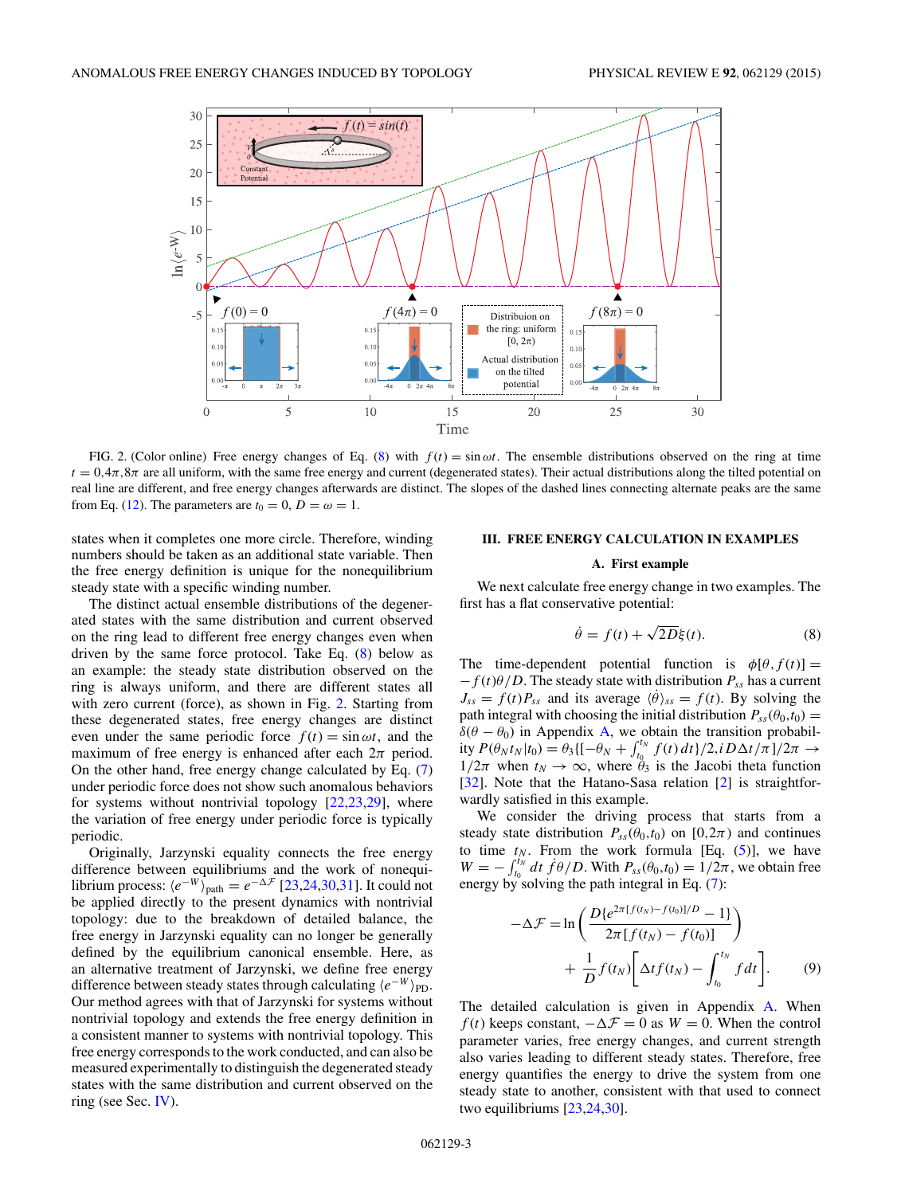<span id="page-2-0"></span>

FIG. 2. (Color online) Free energy changes of Eq. (8) with  $f(t) = \sin \omega t$ . The ensemble distributions observed on the ring at time  $t = 0.4\pi, 8\pi$  are all uniform, with the same free energy and current (degenerated states). Their actual distributions along the tilted potential on real line are different, and free energy changes afterwards are distinct. The slopes of the dashed lines connecting alternate peaks are the same from Eq. [\(12\)](#page-3-0). The parameters are  $t_0 = 0$ ,  $D = \omega = 1$ .

states when it completes one more circle. Therefore, winding numbers should be taken as an additional state variable. Then the free energy definition is unique for the nonequilibrium steady state with a specific winding number.

The distinct actual ensemble distributions of the degenerated states with the same distribution and current observed on the ring lead to different free energy changes even when driven by the same force protocol. Take Eq. (8) below as an example: the steady state distribution observed on the ring is always uniform, and there are different states all with zero current (force), as shown in Fig. 2. Starting from these degenerated states, free energy changes are distinct even under the same periodic force  $f(t) = \sin \omega t$ , and the maximum of free energy is enhanced after each  $2\pi$  period. On the other hand, free energy change calculated by Eq. [\(7\)](#page-1-0) under periodic force does not show such anomalous behaviors for systems without nontrivial topology  $[22,23,29]$ , where the variation of free energy under periodic force is typically periodic.

Originally, Jarzynski equality connects the free energy difference between equilibriums and the work of nonequilibrium process:  $\langle e^{-W} \rangle_{\text{path}} = e^{-\Delta \mathcal{F}}$  [\[23,24,30,31\]](#page-8-0). It could not be applied directly to the present dynamics with nontrivial topology: due to the breakdown of detailed balance, the free energy in Jarzynski equality can no longer be generally defined by the equilibrium canonical ensemble. Here, as an alternative treatment of Jarzynski, we define free energy difference between steady states through calculating  $\langle e^{-W} \rangle_{\text{PD}}$ . Our method agrees with that of Jarzynski for systems without nontrivial topology and extends the free energy definition in a consistent manner to systems with nontrivial topology. This free energy corresponds to the work conducted, and can also be measured experimentally to distinguish the degenerated steady states with the same distribution and current observed on the ring (see Sec. [IV\)](#page-3-0).

# **III. FREE ENERGY CALCULATION IN EXAMPLES**

### **A. First example**

We next calculate free energy change in two examples. The first has a flat conservative potential:

$$
\dot{\theta} = f(t) + \sqrt{2D}\xi(t). \tag{8}
$$

The time-dependent potential function is  $\phi[\theta, f(t)] =$  $-f(t)\theta/D$ . The steady state with distribution  $P_{ss}$  has a current  $J_{ss} = f(t)P_{ss}$  and its average  $\langle \dot{\theta} \rangle_{ss} = f(t)$ . By solving the path integral with choosing the initial distribution  $P_{ss}(\theta_0,t_0)$  =  $\delta(\theta - \theta_0)$  in Appendix [A,](#page-4-0) we obtain the transition probability  $P(\theta_N t_N | t_0) = \theta_3 \{[-\theta_N + \int_{t_0}^{t_N} f(t) dt\}/2, i D\Delta t / π]/2π$  →  $1/2\pi$  when  $t_N \to \infty$ , where  $\theta_3$  is the Jacobi theta function [\[32\]](#page-8-0). Note that the Hatano-Sasa relation [\[2\]](#page-8-0) is straightforwardly satisfied in this example.

We consider the driving process that starts from a steady state distribution  $P_{ss}(\theta_0,t_0)$  on  $[0,2\pi)$  and continues to time  $t_N$ . From the work formula [Eq.  $(5)$ ], we have  $W = -\int_{t_0}^{t_N} dt \, f\theta/D$ . With  $P_{ss}(\theta_0,t_0) = 1/2\pi$ , we obtain free energy by solving the path integral in Eq. [\(7\)](#page-1-0):

$$
-\Delta \mathcal{F} = \ln \left( \frac{D \{ e^{2\pi [f(t_N) - f(t_0)]/D} - 1 \}}{2\pi [f(t_N) - f(t_0)]} \right)
$$

$$
+ \frac{1}{D} f(t_N) \left[ \Delta t f(t_N) - \int_{t_0}^{t_N} f dt \right]. \tag{9}
$$

The detailed calculation is given in Appendix [A.](#page-4-0) When *f* (*t*) keeps constant,  $-\Delta \mathcal{F} = 0$  as  $W = 0$ . When the control parameter varies, free energy changes, and current strength also varies leading to different steady states. Therefore, free energy quantifies the energy to drive the system from one steady state to another, consistent with that used to connect two equilibriums [\[23,24,30\]](#page-8-0).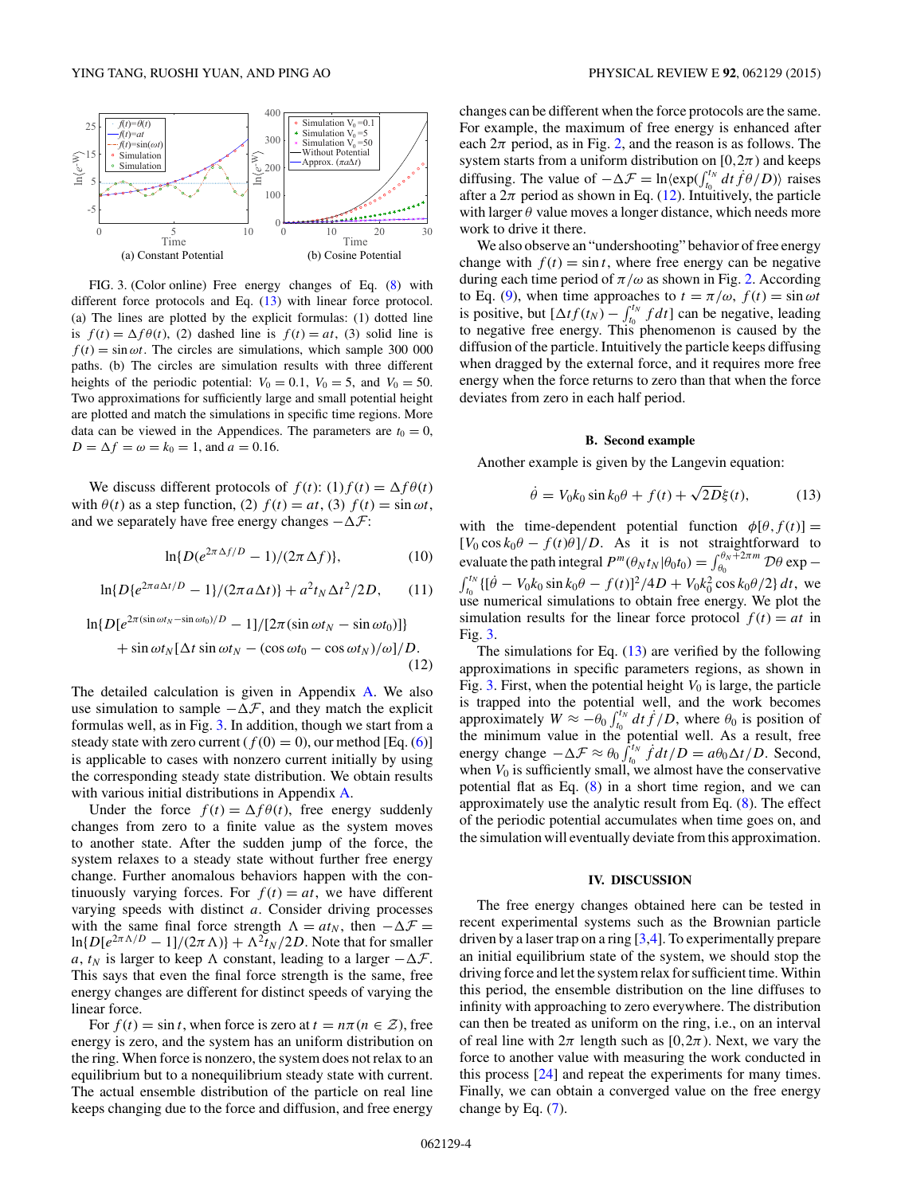<span id="page-3-0"></span>

FIG. 3. (Color online) Free energy changes of Eq. [\(8\)](#page-2-0) with different force protocols and Eq. (13) with linear force protocol. (a) The lines are plotted by the explicit formulas: (1) dotted line is  $f(t) = \Delta f \theta(t)$ , (2) dashed line is  $f(t) = at$ , (3) solid line is  $f(t) = \sin \omega t$ . The circles are simulations, which sample 300 000 paths. (b) The circles are simulation results with three different heights of the periodic potential:  $V_0 = 0.1$ ,  $V_0 = 5$ , and  $V_0 = 50$ . Two approximations for sufficiently large and small potential height are plotted and match the simulations in specific time regions. More data can be viewed in the Appendices. The parameters are  $t_0 = 0$ ,  $D = \Delta f = \omega = k_0 = 1$ , and  $a = 0.16$ .

We discuss different protocols of  $f(t)$ : (1) $f(t) = \Delta f \theta(t)$ with  $\theta(t)$  as a step function, (2)  $f(t) = at$ , (3)  $f(t) = \sin \omega t$ , and we separately have free energy changes  $-\Delta \mathcal{F}$ :

$$
\ln\{D(e^{2\pi\,\Delta f/D}-1)/(2\pi\,\Delta f)\},\tag{10}
$$

$$
\ln\{D\{e^{2\pi a\Delta t/D} - 1\}/(2\pi a\Delta t)\} + a^2 t_N \Delta t^2 / 2D, \qquad (11)
$$

$$
\ln\{D[e^{2\pi(\sin\omega t_N - \sin\omega t_0)/D} - 1]/[2\pi(\sin\omega t_N - \sin\omega t_0)]\}
$$
  
+ 
$$
\sin\omega t_N[\Delta t \sin\omega t_N - (\cos\omega t_0 - \cos\omega t_N)/\omega]/D.
$$
 (12)

The detailed calculation is given in Appendix [A.](#page-4-0) We also use simulation to sample  $-\Delta \mathcal{F}$ , and they match the explicit formulas well, as in Fig. 3. In addition, though we start from a steady state with zero current  $(f(0) = 0)$ , our method [Eq. [\(6\)](#page-1-0)] is applicable to cases with nonzero current initially by using the corresponding steady state distribution. We obtain results with various initial distributions in Appendix [A.](#page-4-0)

Under the force  $f(t) = \Delta f \theta(t)$ , free energy suddenly changes from zero to a finite value as the system moves to another state. After the sudden jump of the force, the system relaxes to a steady state without further free energy change. Further anomalous behaviors happen with the continuously varying forces. For  $f(t) = at$ , we have different varying speeds with distinct *a*. Consider driving processes with the same final force strength  $\Lambda = at_N$ , then  $-\Delta \mathcal{F} =$  $\ln\{D[e^{2\pi \Lambda/D} - 1]/(2\pi \Lambda)\} + \Lambda^2 t_N/2D$ . Note that for smaller *a*,  $t_N$  is larger to keep  $\Lambda$  constant, leading to a larger  $-\Delta \mathcal{F}$ . This says that even the final force strength is the same, free energy changes are different for distinct speeds of varying the linear force.

For  $f(t) = \sin t$ , when force is zero at  $t = n\pi (n \in \mathcal{Z})$ , free energy is zero, and the system has an uniform distribution on the ring. When force is nonzero, the system does not relax to an equilibrium but to a nonequilibrium steady state with current. The actual ensemble distribution of the particle on real line keeps changing due to the force and diffusion, and free energy changes can be different when the force protocols are the same. For example, the maximum of free energy is enhanced after each  $2\pi$  period, as in Fig. [2,](#page-2-0) and the reason is as follows. The system starts from a uniform distribution on [ $0,2\pi$ ) and keeps diffusing. The value of  $-\Delta \mathcal{F} = \ln \langle \exp(\int_{t_0}^{t_N} dt f \theta / D) \rangle$  raises after a  $2\pi$  period as shown in Eq. (12). Intuitively, the particle with larger  $\theta$  value moves a longer distance, which needs more work to drive it there.

We also observe an "undershooting" behavior of free energy change with  $f(t) = \sin t$ , where free energy can be negative during each time period of  $\pi/\omega$  as shown in Fig. [2.](#page-2-0) According to Eq. [\(9\)](#page-2-0), when time approaches to  $t = \pi/\omega$ ,  $f(t) = \sin \omega t$ is positive, but  $[\Delta t f(t_N) - \int_{t_0}^{t_N} f dt]$  can be negative, leading to negative free energy. This phenomenon is caused by the diffusion of the particle. Intuitively the particle keeps diffusing when dragged by the external force, and it requires more free energy when the force returns to zero than that when the force deviates from zero in each half period.

#### **B. Second example**

Another example is given by the Langevin equation:

$$
\dot{\theta} = V_0 k_0 \sin k_0 \theta + f(t) + \sqrt{2D} \xi(t), \tag{13}
$$

with the time-dependent potential function  $\phi[\theta, f(t)] =$  $[V_0 \cos k_0\theta - f(t)\theta]/D$ . As it is not straightforward to evaluate the path integral  $P^m(\theta_N t_N | \theta_0 t_0) = \int_{\theta_0}^{\theta_N + 2\pi m} \mathcal{D}\theta \exp{-\theta_0 t_N}$  $\int_{t_0}^{t_N} \{ [\dot{\theta} - V_0 k_0 \sin k_0 \theta - f(t)]^2 / 4D + V_0 k_0^2 \cos k_0 \theta / 2 \} dt$ , we use numerical simulations to obtain free energy. We plot the simulation results for the linear force protocol  $f(t) = at$  in Fig. 3.

The simulations for Eq.  $(13)$  are verified by the following approximations in specific parameters regions, as shown in Fig. 3. First, when the potential height  $V_0$  is large, the particle is trapped into the potential well, and the work becomes approximately  $W \approx -\theta_0 \int_{t_0}^{t_N} dt \, \dot{f}/D$ , where  $\theta_0$  is position of the minimum value in the potential well. As a result, free energy change  $-\Delta \mathcal{F} \approx \theta_0 \int_{t_0}^{t_N} f dt / D = a \theta_0 \Delta t / D$ . Second, when  $V_0$  is sufficiently small, we almost have the conservative potential flat as Eq. [\(8\)](#page-2-0) in a short time region, and we can approximately use the analytic result from Eq. [\(8\)](#page-2-0). The effect of the periodic potential accumulates when time goes on, and the simulation will eventually deviate from this approximation.

#### **IV. DISCUSSION**

The free energy changes obtained here can be tested in recent experimental systems such as the Brownian particle driven by a laser trap on a ring [\[3,4\]](#page-8-0). To experimentally prepare an initial equilibrium state of the system, we should stop the driving force and let the system relax for sufficient time. Within this period, the ensemble distribution on the line diffuses to infinity with approaching to zero everywhere. The distribution can then be treated as uniform on the ring, i.e., on an interval of real line with  $2\pi$  length such as [0,2 $\pi$ ). Next, we vary the force to another value with measuring the work conducted in this process [\[24\]](#page-8-0) and repeat the experiments for many times. Finally, we can obtain a converged value on the free energy change by Eq. [\(7\)](#page-1-0).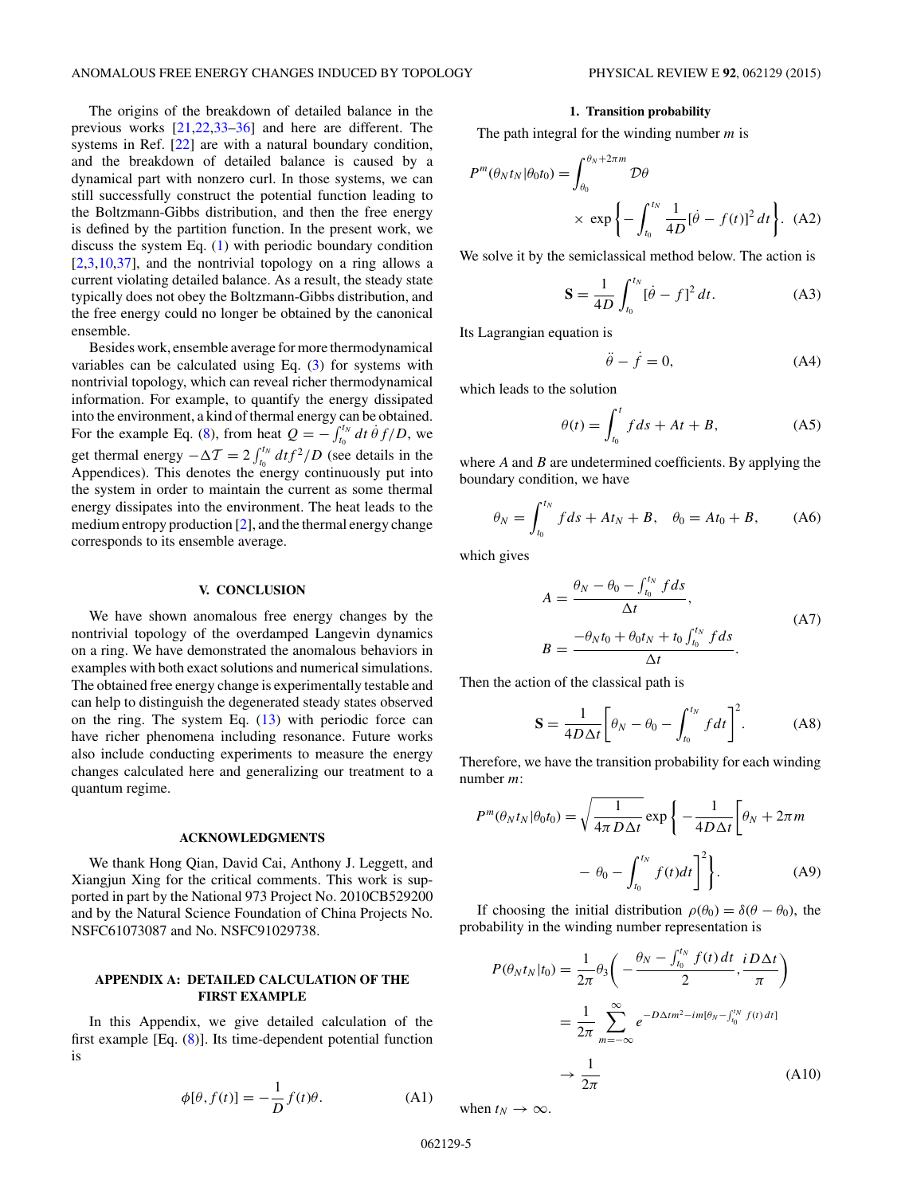<span id="page-4-0"></span>The origins of the breakdown of detailed balance in the previous works [\[21,22,33–36\]](#page-8-0) and here are different. The systems in Ref. [\[22\]](#page-8-0) are with a natural boundary condition, and the breakdown of detailed balance is caused by a dynamical part with nonzero curl. In those systems, we can still successfully construct the potential function leading to the Boltzmann-Gibbs distribution, and then the free energy is defined by the partition function. In the present work, we discuss the system Eq.  $(1)$  with periodic boundary condition [\[2,3,10,37\]](#page-8-0), and the nontrivial topology on a ring allows a current violating detailed balance. As a result, the steady state typically does not obey the Boltzmann-Gibbs distribution, and the free energy could no longer be obtained by the canonical ensemble.

Besides work, ensemble average for more thermodynamical variables can be calculated using Eq.  $(3)$  for systems with nontrivial topology, which can reveal richer thermodynamical information. For example, to quantify the energy dissipated into the environment, a kind of thermal energy can be obtained. For the example Eq. [\(8\)](#page-2-0), from heat  $Q = -\int_{t_0}^{t_N} dt \dot{\theta} f/D$ , we get thermal energy  $-\Delta T = 2 \int_{t_0}^{t_N} dt f^2/D$  (see details in the Appendices). This denotes the energy continuously put into the system in order to maintain the current as some thermal energy dissipates into the environment. The heat leads to the medium entropy production [\[2\]](#page-8-0), and the thermal energy change corresponds to its ensemble average.

### **V. CONCLUSION**

We have shown anomalous free energy changes by the nontrivial topology of the overdamped Langevin dynamics on a ring. We have demonstrated the anomalous behaviors in examples with both exact solutions and numerical simulations. The obtained free energy change is experimentally testable and can help to distinguish the degenerated steady states observed on the ring. The system Eq.  $(13)$  with periodic force can have richer phenomena including resonance. Future works also include conducting experiments to measure the energy changes calculated here and generalizing our treatment to a quantum regime.

#### **ACKNOWLEDGMENTS**

We thank Hong Qian, David Cai, Anthony J. Leggett, and Xiangjun Xing for the critical comments. This work is supported in part by the National 973 Project No. 2010CB529200 and by the Natural Science Foundation of China Projects No. NSFC61073087 and No. NSFC91029738.

### **APPENDIX A: DETAILED CALCULATION OF THE FIRST EXAMPLE**

In this Appendix, we give detailed calculation of the first example  $[Eq. (8)]$  $[Eq. (8)]$  $[Eq. (8)]$ . Its time-dependent potential function is

$$
\phi[\theta, f(t)] = -\frac{1}{D}f(t)\theta.
$$
 (A1)

## **1. Transition probability**

The path integral for the winding number *m* is

$$
P^{m}(\theta_{N}t_{N}|\theta_{0}t_{0}) = \int_{\theta_{0}}^{\theta_{N}+2\pi m} \mathcal{D}\theta
$$

$$
\times \exp\left\{-\int_{t_{0}}^{t_{N}} \frac{1}{4D}[\dot{\theta}-f(t)]^{2} dt\right\}. \quad (A2)
$$

We solve it by the semiclassical method below. The action is

$$
\mathbf{S} = \frac{1}{4D} \int_{t_0}^{t_N} [\dot{\theta} - f]^2 dt.
$$
 (A3)

Its Lagrangian equation is

$$
\ddot{\theta} - \dot{f} = 0,\tag{A4}
$$

which leads to the solution

$$
\theta(t) = \int_{t_0}^t f ds + At + B,\tag{A5}
$$

where *A* and *B* are undetermined coefficients. By applying the boundary condition, we have

$$
\theta_N = \int_{t_0}^{t_N} f ds + At_N + B, \quad \theta_0 = At_0 + B, \tag{A6}
$$

which gives

$$
A = \frac{\theta_N - \theta_0 - \int_{t_0}^{t_N} f ds}{\Delta t},
$$
  
\n
$$
B = \frac{-\theta_N t_0 + \theta_0 t_N + t_0 \int_{t_0}^{t_N} f ds}{\Delta t}.
$$
 (A7)

Then the action of the classical path is

$$
\mathbf{S} = \frac{1}{4D\Delta t} \bigg[ \theta_N - \theta_0 - \int_{t_0}^{t_N} f dt \bigg]^2. \tag{A8}
$$

Therefore, we have the transition probability for each winding number *m*:

$$
P^{m}(\theta_{N}t_{N}|\theta_{0}t_{0}) = \sqrt{\frac{1}{4\pi D\Delta t}} \exp\left\{-\frac{1}{4D\Delta t} \left[\theta_{N} + 2\pi m - \theta_{0} - \int_{t_{0}}^{t_{N}} f(t)dt\right]^{2}\right\}.
$$
 (A9)

If choosing the initial distribution  $\rho(\theta_0) = \delta(\theta - \theta_0)$ , the probability in the winding number representation is

$$
P(\theta_N t_N | t_0) = \frac{1}{2\pi} \theta_3 \bigg( -\frac{\theta_N - \int_{t_0}^{t_N} f(t) dt}{2}, \frac{iD\Delta t}{\pi} \bigg)
$$
  
= 
$$
\frac{1}{2\pi} \sum_{m=-\infty}^{\infty} e^{-D\Delta t m^2 - im[\theta_N - \int_{t_0}^{t_N} f(t) dt]}
$$
  

$$
\rightarrow \frac{1}{2\pi} \tag{A10}
$$

when  $t_N \to \infty$ .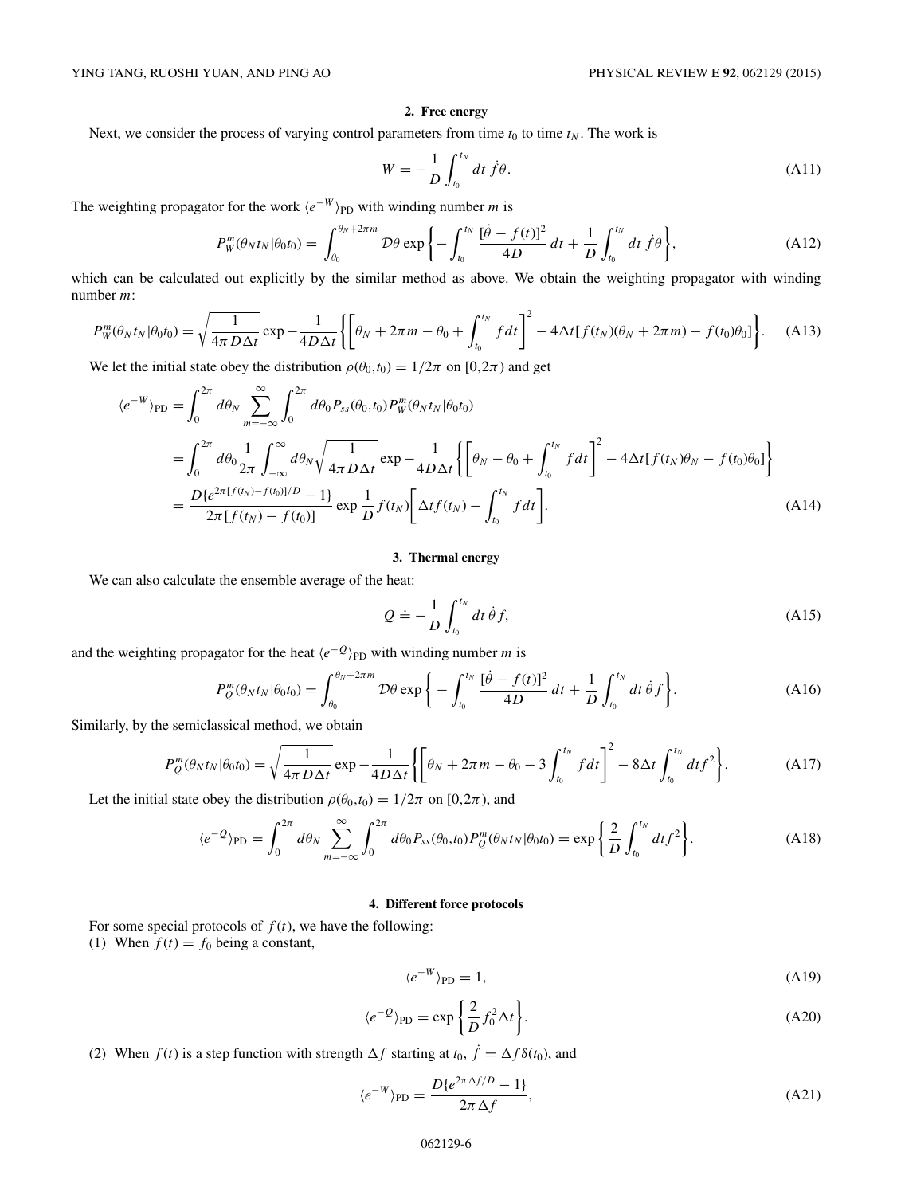# **2. Free energy**

Next, we consider the process of varying control parameters from time  $t_0$  to time  $t_N$ . The work is

$$
W = -\frac{1}{D} \int_{t_0}^{t_N} dt \dot{f} \theta.
$$
 (A11)

The weighting propagator for the work  $\langle e^{-W} \rangle_{\text{PD}}$  with winding number *m* is

$$
P_W^m(\theta_N t_N | \theta_0 t_0) = \int_{\theta_0}^{\theta_N + 2\pi m} \mathcal{D}\theta \exp\left\{-\int_{t_0}^{t_N} \frac{[\dot{\theta} - f(t)]^2}{4D} dt + \frac{1}{D} \int_{t_0}^{t_N} dt \dot{f}\theta\right\},\tag{A12}
$$

which can be calculated out explicitly by the similar method as above. We obtain the weighting propagator with winding number *m*:

$$
P_W^m(\theta_N t_N | \theta_0 t_0) = \sqrt{\frac{1}{4\pi D \Delta t}} \exp{-\frac{1}{4D \Delta t}} \left\{ \left[ \theta_N + 2\pi m - \theta_0 + \int_{t_0}^{t_N} f dt \right]^2 - 4\Delta t [f(t_N)(\theta_N + 2\pi m) - f(t_0)\theta_0] \right\}.
$$
 (A13)

We let the initial state obey the distribution  $\rho(\theta_0, t_0) = 1/2\pi$  on [0*,*2 $\pi$ ) and get

$$
\langle e^{-W} \rangle_{\text{PD}} = \int_{0}^{2\pi} d\theta_{N} \sum_{m=-\infty}^{\infty} \int_{0}^{2\pi} d\theta_{0} P_{ss}(\theta_{0}, t_{0}) P_{W}^{m}(\theta_{N} t_{N} | \theta_{0} t_{0})
$$
  
\n
$$
= \int_{0}^{2\pi} d\theta_{0} \frac{1}{2\pi} \int_{-\infty}^{\infty} d\theta_{N} \sqrt{\frac{1}{4\pi D\Delta t}} \exp{-\frac{1}{4D\Delta t}} \left\{ \left[ \theta_{N} - \theta_{0} + \int_{t_{0}}^{t_{N}} f dt \right]^{2} - 4\Delta t [f(t_{N})\theta_{N} - f(t_{0})\theta_{0}] \right\}
$$
  
\n
$$
= \frac{D \{ e^{2\pi [f(t_{N}) - f(t_{0})]/D} - 1 \}}{2\pi [f(t_{N}) - f(t_{0})]} \exp{\frac{1}{D} f(t_{N})} \left[ \Delta t f(t_{N}) - \int_{t_{0}}^{t_{N}} f dt \right].
$$
 (A14)

## **3. Thermal energy**

We can also calculate the ensemble average of the heat:

$$
Q \doteq -\frac{1}{D} \int_{t_0}^{t_N} dt \, \dot{\theta} f,\tag{A15}
$$

and the weighting propagator for the heat  $\langle e^{-Q} \rangle_{\text{PD}}$  with winding number *m* is

$$
P_{Q}^{m}(\theta_{N}t_{N}|\theta_{0}t_{0}) = \int_{\theta_{0}}^{\theta_{N}+2\pi m} \mathcal{D}\theta \exp\left\{-\int_{t_{0}}^{t_{N}} \frac{[\dot{\theta}-f(t)]^{2}}{4D} dt + \frac{1}{D} \int_{t_{0}}^{t_{N}} dt \, \dot{\theta} f\right\}.
$$
 (A16)

Similarly, by the semiclassical method, we obtain

$$
P_{Q}^{m}(\theta_{N}t_{N}|\theta_{0}t_{0}) = \sqrt{\frac{1}{4\pi D\Delta t}}\exp{-\frac{1}{4D\Delta t}\left\{\left[\theta_{N} + 2\pi m - \theta_{0} - 3\int_{t_{0}}^{t_{N}} f dt\right]^{2} - 8\Delta t\int_{t_{0}}^{t_{N}} dt f^{2}\right\}}.
$$
 (A17)

Let the initial state obey the distribution  $\rho(\theta_0, t_0) = 1/2\pi$  on [0*,*2*π*), and

$$
\langle e^{-Q} \rangle_{\text{PD}} = \int_0^{2\pi} d\theta_N \sum_{m=-\infty}^{\infty} \int_0^{2\pi} d\theta_0 P_{ss}(\theta_0, t_0) P_Q^m(\theta_N t_N | \theta_0 t_0) = \exp\left\{ \frac{2}{D} \int_{t_0}^{t_N} dt f^2 \right\}.
$$
 (A18)

## **4. Different force protocols**

For some special protocols of  $f(t)$ , we have the following: (1) When  $f(t) = f_0$  being a constant,

$$
\langle e^{-W} \rangle_{\rm PD} = 1,\tag{A19}
$$

$$
\langle e^{-Q} \rangle_{\text{PD}} = \exp\left\{ \frac{2}{D} f_0^2 \Delta t \right\}.
$$
 (A20)

(2) When  $f(t)$  is a step function with strength  $\Delta f$  starting at  $t_0$ ,  $\dot{f} = \Delta f \delta(t_0)$ , and

$$
\langle e^{-W} \rangle_{\rm PD} = \frac{D \{ e^{2\pi \Delta f/D} - 1 \}}{2\pi \Delta f},\tag{A21}
$$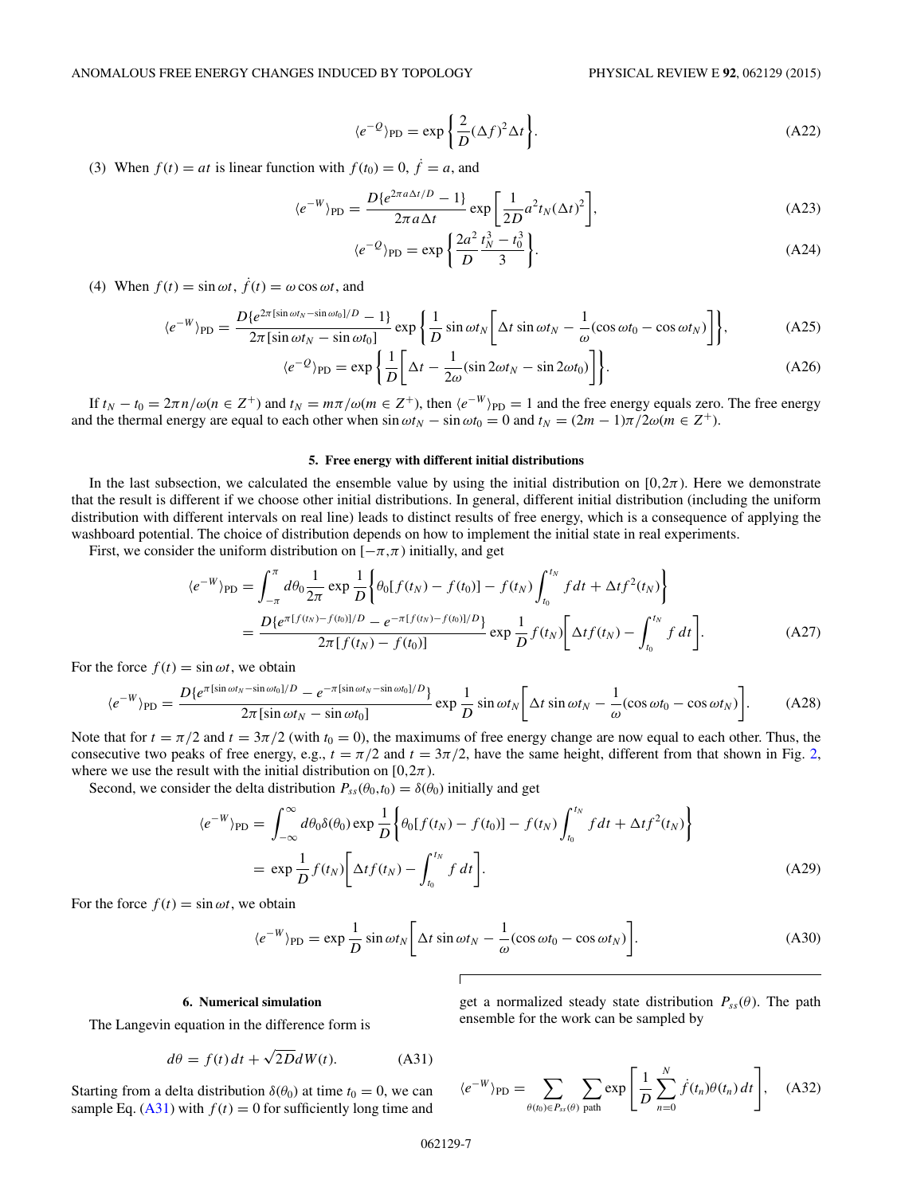$$
\langle e^{-Q} \rangle_{\text{PD}} = \exp\left\{ \frac{2}{D} (\Delta f)^2 \Delta t \right\}.
$$
 (A22)

(3) When  $f(t) = at$  is linear function with  $f(t_0) = 0$ ,  $\dot{f} = a$ , and

$$
\langle e^{-W} \rangle_{\text{PD}} = \frac{D \{ e^{2\pi a \Delta t/D} - 1 \}}{2\pi a \Delta t} \exp \left[ \frac{1}{2D} a^2 t_N (\Delta t)^2 \right],\tag{A23}
$$

$$
\langle e^{-Q} \rangle_{\rm PD} = \exp\left\{ \frac{2a^2}{D} \frac{t_N^3 - t_0^3}{3} \right\}.
$$
 (A24)

(4) When  $f(t) = \sin \omega t$ ,  $\dot{f}(t) = \omega \cos \omega t$ , and

$$
\langle e^{-W} \rangle_{\text{PD}} = \frac{D \{ e^{2\pi [\sin \omega t_N - \sin \omega t_0]/D} - 1 \}}{2\pi [\sin \omega t_N - \sin \omega t_0]} \exp \left\{ \frac{1}{D} \sin \omega t_N \left[ \Delta t \sin \omega t_N - \frac{1}{\omega} (\cos \omega t_0 - \cos \omega t_N) \right] \right\},\tag{A25}
$$

$$
\langle e^{-Q} \rangle_{\text{PD}} = \exp\left\{ \frac{1}{D} \left[ \Delta t - \frac{1}{2\omega} (\sin 2\omega t_N - \sin 2\omega t_0) \right] \right\}.
$$
 (A26)

If  $t_N - t_0 = 2\pi n/\omega (n \in \mathbb{Z}^+)$  and  $t_N = m\pi/\omega (m \in \mathbb{Z}^+)$ , then  $\langle e^{-W} \rangle_{\text{PD}} = 1$  and the free energy equals zero. The free energy and the thermal energy are equal to each other when  $\sin \omega t_N - \sin \omega t_0 = 0$  and  $t_N = (2m - 1)\pi/2\omega (m \in \mathbb{Z}^+).$ 

#### **5. Free energy with different initial distributions**

In the last subsection, we calculated the ensemble value by using the initial distribution on  $[0,2\pi)$ . Here we demonstrate that the result is different if we choose other initial distributions. In general, different initial distribution (including the uniform distribution with different intervals on real line) leads to distinct results of free energy, which is a consequence of applying the washboard potential. The choice of distribution depends on how to implement the initial state in real experiments.

First, we consider the uniform distribution on  $[-\pi,\pi)$  initially, and get

$$
\langle e^{-W} \rangle_{\text{PD}} = \int_{-\pi}^{\pi} d\theta_0 \frac{1}{2\pi} \exp \frac{1}{D} \left\{ \theta_0 [f(t_N) - f(t_0)] - f(t_N) \int_{t_0}^{t_N} f dt + \Delta t f^2(t_N) \right\}
$$
  
= 
$$
\frac{D \{ e^{\pi [f(t_N) - f(t_0)]/D} - e^{-\pi [f(t_N) - f(t_0)]/D} \}}{2\pi [f(t_N) - f(t_0)]} \exp \frac{1}{D} f(t_N) \left[ \Delta t f(t_N) - \int_{t_0}^{t_N} f dt \right].
$$
 (A27)

For the force  $f(t) = \sin \omega t$ , we obtain

$$
\langle e^{-W} \rangle_{\text{PD}} = \frac{D \{ e^{\pi [\sin \omega t_N - \sin \omega t_0]/D} - e^{-\pi [\sin \omega t_N - \sin \omega t_0]/D} \}}{2\pi [\sin \omega t_N - \sin \omega t_0]} \exp \frac{1}{D} \sin \omega t_N \left[ \Delta t \sin \omega t_N - \frac{1}{\omega} (\cos \omega t_0 - \cos \omega t_N) \right]. \tag{A28}
$$

Note that for  $t = \pi/2$  and  $t = 3\pi/2$  (with  $t_0 = 0$ ), the maximums of free energy change are now equal to each other. Thus, the consecutive two peaks of free energy, e.g.,  $t = \frac{\pi}{2}$  and  $t = \frac{3\pi}{2}$ , have the same height, different from that shown in Fig. [2,](#page-2-0) where we use the result with the initial distribution on [ $0, 2\pi$ ).

Second, we consider the delta distribution  $P_{ss}(\theta_0,t_0) = \delta(\theta_0)$  initially and get

$$
\langle e^{-W} \rangle_{\text{PD}} = \int_{-\infty}^{\infty} d\theta_0 \delta(\theta_0) \exp \frac{1}{D} \left\{ \theta_0 [f(t_N) - f(t_0)] - f(t_N) \int_{t_0}^{t_N} f dt + \Delta t f^2(t_N) \right\}
$$
  
=  $\exp \frac{1}{D} f(t_N) \left[ \Delta t f(t_N) - \int_{t_0}^{t_N} f dt \right].$  (A29)

For the force  $f(t) = \sin \omega t$ , we obtain

$$
\langle e^{-W} \rangle_{\text{PD}} = \exp \frac{1}{D} \sin \omega t_N \bigg[ \Delta t \sin \omega t_N - \frac{1}{\omega} (\cos \omega t_0 - \cos \omega t_N) \bigg]. \tag{A30}
$$

#### **6. Numerical simulation**

The Langevin equation in the difference form is

$$
d\theta = f(t) dt + \sqrt{2D} dW(t).
$$
 (A31)

Starting from a delta distribution  $\delta(\theta_0)$  at time  $t_0 = 0$ , we can sample Eq.  $(A31)$  with  $f(t) = 0$  for sufficiently long time and

get a normalized steady state distribution 
$$
P_{ss}(\theta)
$$
. The path ensemble for the work can be sampled by

$$
\langle e^{-W} \rangle_{\text{PD}} = \sum_{\theta(t_0) \in P_{ss}(\theta)} \sum_{\text{path}} \exp\left[\frac{1}{D} \sum_{n=0}^{N} \dot{f}(t_n) \theta(t_n) dt\right], \quad (A32)
$$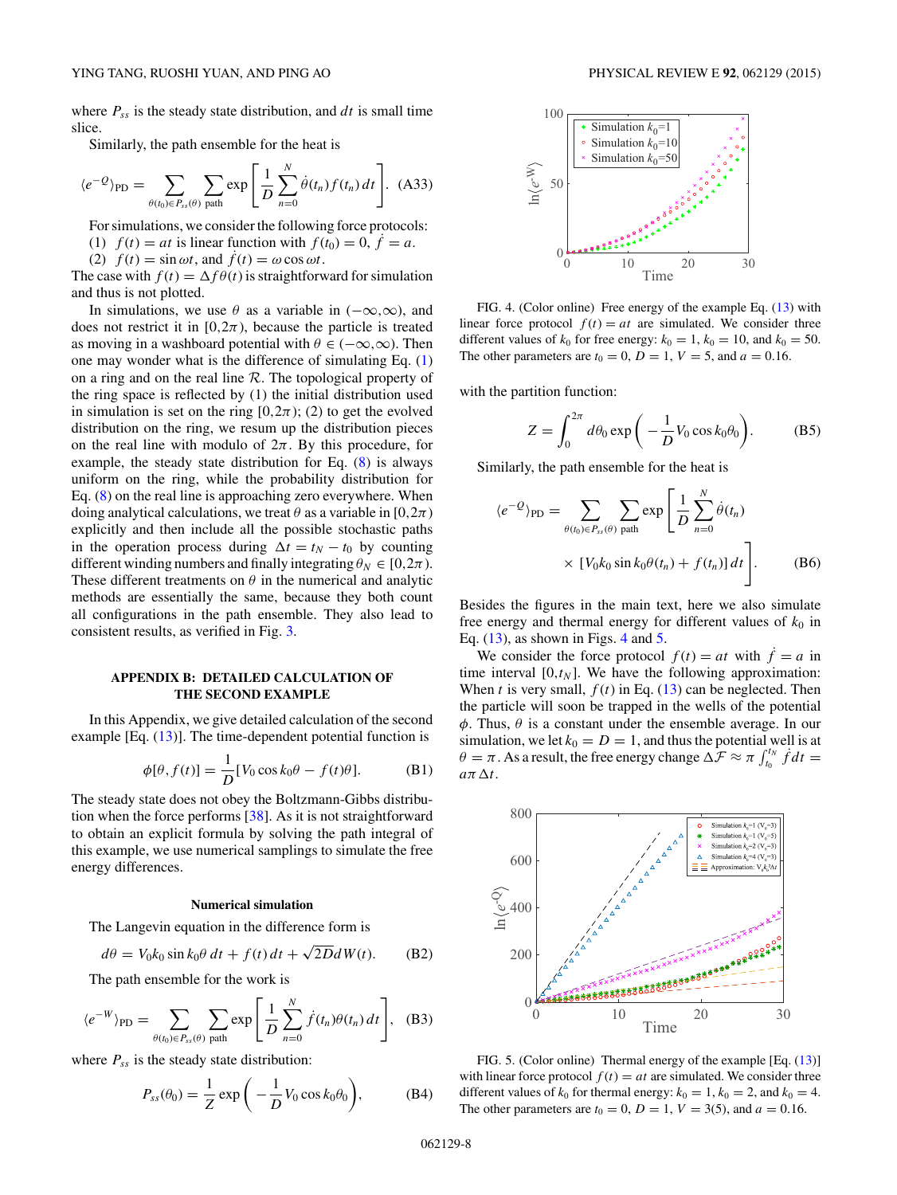where  $P_{ss}$  is the steady state distribution, and  $dt$  is small time slice.

Similarly, the path ensemble for the heat is

$$
\langle e^{-Q} \rangle_{\text{PD}} = \sum_{\theta(t_0) \in P_{ss}(\theta)} \sum_{\text{path}} \exp\left[\frac{1}{D} \sum_{n=0}^{N} \dot{\theta}(t_n) f(t_n) dt\right]. \tag{A33}
$$

For simulations, we consider the following force protocols: (1)  $f(t) = at$  is linear function with  $f(t_0) = 0$ ,  $f = a$ .

(2)  $f(t) = \sin \omega t$ , and  $f(t) = \omega \cos \omega t$ .

The case with  $f(t) = \Delta f \theta(t)$  is straightforward for simulation and thus is not plotted.

In simulations, we use  $\theta$  as a variable in  $(-\infty,\infty)$ , and does not restrict it in  $[0, 2\pi)$ , because the particle is treated as moving in a washboard potential with  $\theta \in (-\infty, \infty)$ . Then one may wonder what is the difference of simulating Eq. [\(1\)](#page-0-0) on a ring and on the real line  $R$ . The topological property of the ring space is reflected by (1) the initial distribution used in simulation is set on the ring  $[0,2\pi)$ ; (2) to get the evolved distribution on the ring, we resum up the distribution pieces on the real line with modulo of  $2\pi$ . By this procedure, for example, the steady state distribution for Eq.  $(8)$  is always uniform on the ring, while the probability distribution for Eq. [\(8\)](#page-2-0) on the real line is approaching zero everywhere. When doing analytical calculations, we treat  $\theta$  as a variable in [0,2 $\pi$ ) explicitly and then include all the possible stochastic paths in the operation process during  $\Delta t = t_N - t_0$  by counting different winding numbers and finally integrating  $\theta_N \in [0, 2\pi)$ . These different treatments on  $\theta$  in the numerical and analytic methods are essentially the same, because they both count all configurations in the path ensemble. They also lead to consistent results, as verified in Fig. [3.](#page-3-0)

# **APPENDIX B: DETAILED CALCULATION OF THE SECOND EXAMPLE**

In this Appendix, we give detailed calculation of the second example [Eq.  $(13)$ ]. The time-dependent potential function is

$$
\phi[\theta, f(t)] = \frac{1}{D} [V_0 \cos k_0 \theta - f(t)\theta].
$$
 (B1)

The steady state does not obey the Boltzmann-Gibbs distribution when the force performs  $[38]$ . As it is not straightforward to obtain an explicit formula by solving the path integral of this example, we use numerical samplings to simulate the free energy differences.

#### **Numerical simulation**

The Langevin equation in the difference form is

$$
d\theta = V_0 k_0 \sin k_0 \theta \, dt + f(t) \, dt + \sqrt{2D} dW(t). \tag{B2}
$$

The path ensemble for the work is

$$
\langle e^{-W} \rangle_{\text{PD}} = \sum_{\theta(t_0) \in P_{ss}(\theta)} \sum_{\text{path}} \exp\left[\frac{1}{D} \sum_{n=0}^{N} \dot{f}(t_n) \theta(t_n) dt\right], \quad \text{(B3)}
$$

where  $P_{ss}$  is the steady state distribution:

$$
P_{ss}(\theta_0) = \frac{1}{Z} \exp\left(-\frac{1}{D}V_0 \cos k_0 \theta_0\right),\tag{B4}
$$



FIG. 4. (Color online) Free energy of the example Eq. [\(13\)](#page-3-0) with linear force protocol  $f(t) = at$  are simulated. We consider three different values of  $k_0$  for free energy:  $k_0 = 1$ ,  $k_0 = 10$ , and  $k_0 = 50$ . The other parameters are  $t_0 = 0$ ,  $D = 1$ ,  $V = 5$ , and  $a = 0.16$ .

with the partition function:

$$
Z = \int_0^{2\pi} d\theta_0 \exp\bigg(-\frac{1}{D}V_0 \cos k_0 \theta_0\bigg). \tag{B5}
$$

Similarly, the path ensemble for the heat is

$$
\langle e^{-Q} \rangle_{\text{PD}} = \sum_{\theta(t_0) \in P_{ss}(\theta)} \sum_{\text{path}} \exp\left[\frac{1}{D} \sum_{n=0}^{N} \dot{\theta}(t_n) \times [V_0 k_0 \sin k_0 \theta(t_n) + f(t_n)] dt\right].
$$
 (B6)

Besides the figures in the main text, here we also simulate free energy and thermal energy for different values of  $k_0$  in Eq.  $(13)$ , as shown in Figs. 4 and 5.

We consider the force protocol  $f(t) = at$  with  $f = a$  in time interval  $[0, t_N]$ . We have the following approximation: When *t* is very small,  $f(t)$  in Eq. [\(13\)](#page-3-0) can be neglected. Then the particle will soon be trapped in the wells of the potential *φ*. Thus, *θ* is a constant under the ensemble average. In our simulation, we let  $k_0 = D = 1$ , and thus the potential well is at  $\theta = \pi$ . As a result, the free energy change  $\Delta \mathcal{F} \approx \pi \int_{t_0}^{t_N} f dt =$  $a\pi\Delta t$ .



FIG. 5. (Color online) Thermal energy of the example [Eq. [\(13\)](#page-3-0)] with linear force protocol  $f(t) = at$  are simulated. We consider three different values of  $k_0$  for thermal energy:  $k_0 = 1$ ,  $k_0 = 2$ , and  $k_0 = 4$ . The other parameters are  $t_0 = 0$ ,  $D = 1$ ,  $V = 3(5)$ , and  $a = 0.16$ .